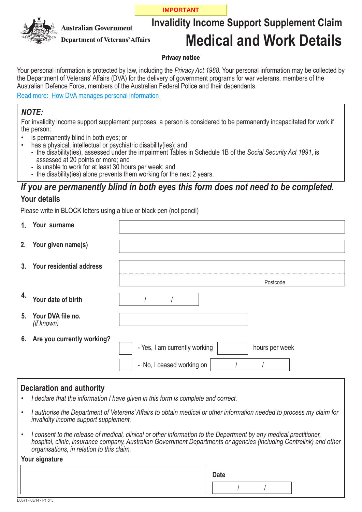**IMPORTANT**



**Australian Government** 

**Department of Veterans' Affairs** 

# **Invalidity Income Support Supplement Claim Medical and Work Details**

#### Privacy notice

Your personal information is protected by law, including the *Privacy Act 1988*. Your personal information may be collected by the Department of Veterans' Affairs (DVA) for the delivery of government programs for war veterans, members of the Australian Defence Force, members of the Australian Federal Police and their dependants.

[Read more: How DVA manages personal information](http://www.dva.gov.au/privacy)

#### *NOTE:*

For invalidity income support supplement purposes, a person is considered to be permanently incapacitated for work if the person:

- is permanently blind in both eyes; or
	- has a physical, intellectual or psychiatric disability(ies); and
	- **-** the disability(ies), assessed under the impairment Tables in Schedule 1B of the *Social Security Act 1991*, is assessed at 20 points or more; and
	- **-** is unable to work for at least 30 hours per week; and
	- **-** the disability(ies) alone prevents them working for the next 2 years.

#### *If you are permanently blind in both eyes this form does not need to be completed.* **Your details**

Please write in BLOCK letters using a blue or black pen (not pencil)

|    | 1. Your surname                    |                                                 |
|----|------------------------------------|-------------------------------------------------|
|    | 2. Your given name(s)              |                                                 |
|    | 3. Your residential address        |                                                 |
|    |                                    | Postcode                                        |
| 4. | Your date of birth                 |                                                 |
|    | 5. Your DVA file no.<br>(if known) |                                                 |
|    | 6. Are you currently working?      | - Yes, I am currently working<br>hours per week |
|    |                                    | - No, I ceased working on                       |

#### **Declaration and authority**

- *I declare that the information I have given in this form is complete and correct.*
- *I authorise the Department of Veterans' Affairs to obtain medical or other information needed to process my claim for invalidity income support supplement. •*
- *I consent to the release of medical, clinical or other information to the Department by any medical practitioner, hospital, clinic, insurance company, Australian Government Departments or agencies (including Centrelink) and other organisations, in relation to this claim. •*

| Your signature          |             |  |  |
|-------------------------|-------------|--|--|
|                         | <b>Date</b> |  |  |
|                         |             |  |  |
| D0571 - 03/14 - P1 of 5 |             |  |  |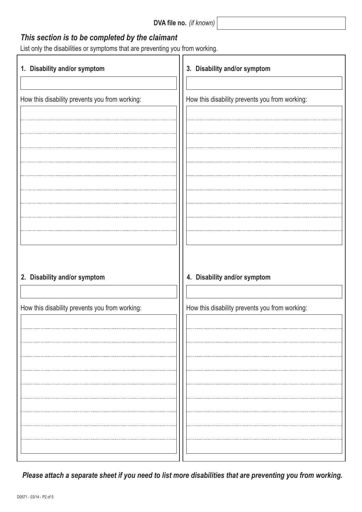| DVA file no. (if known) |  |
|-------------------------|--|
|-------------------------|--|

### *This section is to be completed by the claimant*

List only the disabilities or symptoms that are preventing you from working.

| 1. Disability and/or symptom                   | 3. Disability and/or symptom                   |
|------------------------------------------------|------------------------------------------------|
|                                                |                                                |
| How this disability prevents you from working: | How this disability prevents you from working: |
|                                                |                                                |
|                                                |                                                |
|                                                |                                                |
|                                                |                                                |
|                                                |                                                |
|                                                |                                                |
|                                                |                                                |
|                                                |                                                |
|                                                |                                                |
|                                                |                                                |
|                                                |                                                |
| 2. Disability and/or symptom                   | 4. Disability and/or symptom                   |
|                                                |                                                |
| How this disability prevents you from working: | How this disability prevents you from working: |
|                                                |                                                |
|                                                |                                                |
|                                                |                                                |
|                                                |                                                |
|                                                |                                                |
|                                                |                                                |
|                                                |                                                |
|                                                |                                                |
|                                                |                                                |
|                                                |                                                |
|                                                |                                                |

 *Please attach a separate sheet if you need to list more disabilities that are preventing you from working.*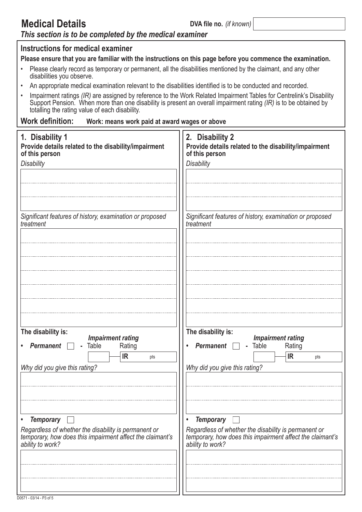## **Medical Details**

**DVA file no.** *(if known)*

٦

## *This section is to be completed by the medical examiner*

| Instructions for medical examiner                                                                                                                                                                                                                                                         |                                                                                           |  |  |  |
|-------------------------------------------------------------------------------------------------------------------------------------------------------------------------------------------------------------------------------------------------------------------------------------------|-------------------------------------------------------------------------------------------|--|--|--|
| Please ensure that you are familiar with the instructions on this page before you commence the examination.<br>Please clearly record as temporary or permanent, all the disabilities mentioned by the claimant, and any other                                                             |                                                                                           |  |  |  |
| disabilities you observe.                                                                                                                                                                                                                                                                 |                                                                                           |  |  |  |
| An appropriate medical examination relevant to the disabilities identified is to be conducted and recorded.                                                                                                                                                                               |                                                                                           |  |  |  |
| Impairment ratings (IR) are assigned by reference to the Work Related Impairment Tables for Centrelink's Disability<br>Support Pension. When more than one disability is present an overall impairment rating (IR) is to be obtained by<br>totalling the rating value of each disability. |                                                                                           |  |  |  |
| Work definition: Work: means work paid at award wages or above                                                                                                                                                                                                                            |                                                                                           |  |  |  |
| 1. Disability 1<br>Provide details related to the disability/impairment<br>of this person                                                                                                                                                                                                 | 2. Disability 2<br>Provide details related to the disability/impairment<br>of this person |  |  |  |
| <b>Disability</b>                                                                                                                                                                                                                                                                         | <b>Disability</b>                                                                         |  |  |  |
|                                                                                                                                                                                                                                                                                           |                                                                                           |  |  |  |
|                                                                                                                                                                                                                                                                                           |                                                                                           |  |  |  |
|                                                                                                                                                                                                                                                                                           |                                                                                           |  |  |  |
| Significant features of history, examination or proposed<br>treatment                                                                                                                                                                                                                     | Significant features of history, examination or proposed<br>treatment                     |  |  |  |
|                                                                                                                                                                                                                                                                                           |                                                                                           |  |  |  |
|                                                                                                                                                                                                                                                                                           |                                                                                           |  |  |  |
|                                                                                                                                                                                                                                                                                           |                                                                                           |  |  |  |
|                                                                                                                                                                                                                                                                                           |                                                                                           |  |  |  |
|                                                                                                                                                                                                                                                                                           |                                                                                           |  |  |  |
|                                                                                                                                                                                                                                                                                           |                                                                                           |  |  |  |
|                                                                                                                                                                                                                                                                                           |                                                                                           |  |  |  |
| The disability is:                                                                                                                                                                                                                                                                        | The disability is:                                                                        |  |  |  |
| <b>Impairment rating</b><br>Table<br><b>Permanent</b><br>Rating                                                                                                                                                                                                                           | <b>Impairment rating</b><br>Table<br><b>Permanent</b><br>Rating                           |  |  |  |
| <b>IR</b><br>pts                                                                                                                                                                                                                                                                          | <b>IR</b><br>pts                                                                          |  |  |  |
| Why did you give this rating?                                                                                                                                                                                                                                                             | Why did you give this rating?                                                             |  |  |  |
|                                                                                                                                                                                                                                                                                           |                                                                                           |  |  |  |
|                                                                                                                                                                                                                                                                                           |                                                                                           |  |  |  |
|                                                                                                                                                                                                                                                                                           |                                                                                           |  |  |  |
| <b>Temporary</b><br>$\bullet$                                                                                                                                                                                                                                                             | <b>Temporary</b>                                                                          |  |  |  |
| Regardless of whether the disability is permanent or                                                                                                                                                                                                                                      | Regardless of whether the disability is permanent or                                      |  |  |  |
| temporary, how does this impairment affect the claimant's<br>ability to work?                                                                                                                                                                                                             | temporary, how does this impairment affect the claimant's<br>ability to work?             |  |  |  |
|                                                                                                                                                                                                                                                                                           |                                                                                           |  |  |  |
|                                                                                                                                                                                                                                                                                           |                                                                                           |  |  |  |
|                                                                                                                                                                                                                                                                                           |                                                                                           |  |  |  |
|                                                                                                                                                                                                                                                                                           |                                                                                           |  |  |  |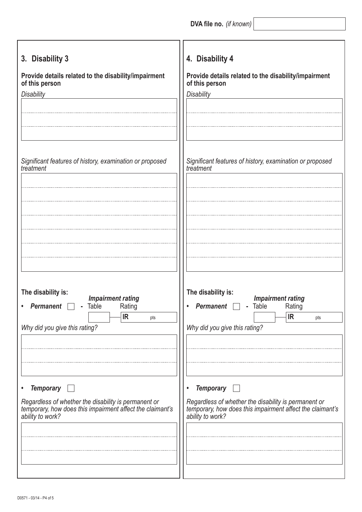**DVA file no.** *(if known)*

| 3. Disability 3                                           | 4. Disability 4                                           |
|-----------------------------------------------------------|-----------------------------------------------------------|
| Provide details related to the disability/impairment      | Provide details related to the disability/impairment      |
| of this person                                            | of this person                                            |
| <b>Disability</b>                                         | <b>Disability</b>                                         |
| Significant features of history, examination or proposed  | Significant features of history, examination or proposed  |
| treatment                                                 | treatment                                                 |
| The disability is:                                        | The disability is:                                        |
| <b>Impairment rating</b>                                  | <b>Impairment rating</b>                                  |
| - Table                                                   | - Table                                                   |
| Rating                                                    | Rating                                                    |
| <b>Permanent</b>                                          | <b>Permanent</b>                                          |
| IR                                                        | IR                                                        |
| pts                                                       | pts                                                       |
| Why did you give this rating?                             | Why did you give this rating?                             |
| <b>Temporary</b>                                          | <b>Temporary</b>                                          |
| Regardless of whether the disability is permanent or      | Regardless of whether the disability is permanent or      |
| temporary, how does this impairment affect the claimant's | temporary, how does this impairment affect the claimant's |
| ability to work?                                          | ability to work?                                          |